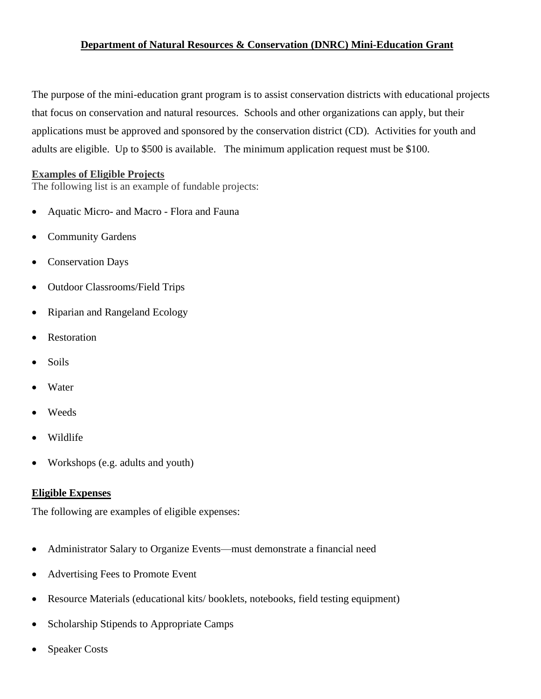#### **Department of Natural Resources & Conservation (DNRC) Mini-Education Grant**

The purpose of the mini-education grant program is to assist conservation districts with educational projects that focus on conservation and natural resources. Schools and other organizations can apply, but their applications must be approved and sponsored by the conservation district (CD). Activities for youth and adults are eligible. Up to \$500 is available. The minimum application request must be \$100.

#### **Examples of Eligible Projects**

The following list is an example of fundable projects:

- Aquatic Micro- and Macro Flora and Fauna
- Community Gardens
- Conservation Days
- Outdoor Classrooms/Field Trips
- Riparian and Rangeland Ecology
- **Restoration**
- Soils
- **Water**
- Weeds
- Wildlife
- Workshops (e.g. adults and youth)

#### **Eligible Expenses**

The following are examples of eligible expenses:

- Administrator Salary to Organize Events—must demonstrate a financial need
- Advertising Fees to Promote Event
- Resource Materials (educational kits/booklets, notebooks, field testing equipment)
- Scholarship Stipends to Appropriate Camps
- **Speaker Costs**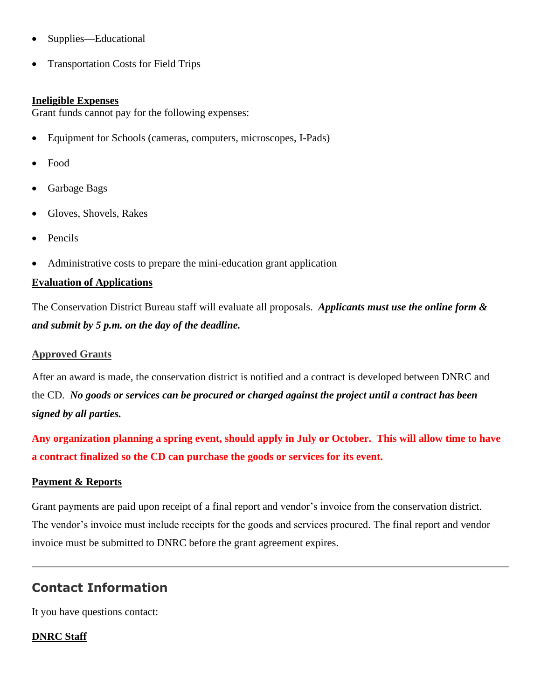- Supplies—Educational
- Transportation Costs for Field Trips

#### **Ineligible Expenses**

Grant funds cannot pay for the following expenses:

- Equipment for Schools (cameras, computers, microscopes, I-Pads)
- Food
- Garbage Bags
- Gloves, Shovels, Rakes
- Pencils
- Administrative costs to prepare the mini-education grant application

#### **Evaluation of Applications**

The Conservation District Bureau staff will evaluate all proposals. *Applicants must use the online form & and submit by 5 p.m. on the day of the deadline.* 

#### **Approved Grants**

After an award is made, the conservation district is notified and a contract is developed between DNRC and the CD. *No goods or services can be procured or charged against the project until a contract has been signed by all parties.* 

**Any organization planning a spring event, should apply in July or October. This will allow time to have a contract finalized so the CD can purchase the goods or services for its event.**

#### **Payment & Reports**

Grant payments are paid upon receipt of a final report and vendor's invoice from the conservation district. The vendor's invoice must include receipts for the goods and services procured. The final report and vendor invoice must be submitted to DNRC before the grant agreement expires.

# **Contact Information**

It you have questions contact:

### **DNRC Staff**